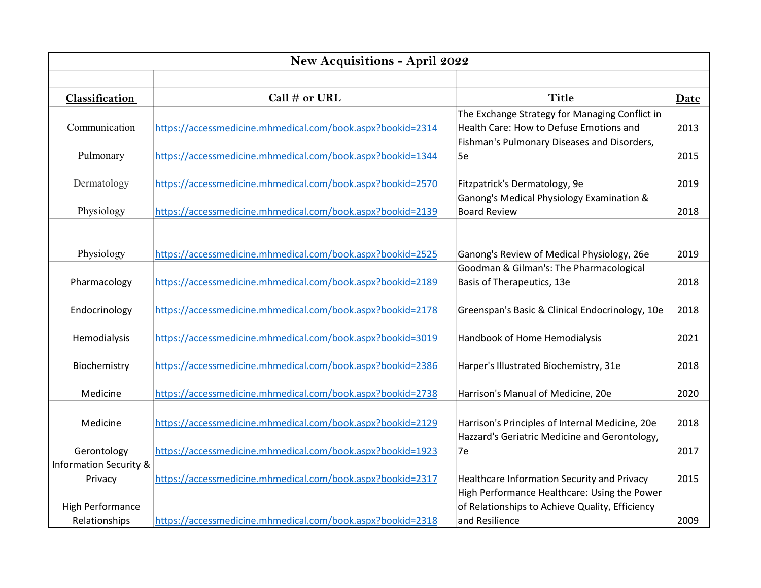| New Acquisitions - April 2022     |                                                            |                                                                            |      |  |  |
|-----------------------------------|------------------------------------------------------------|----------------------------------------------------------------------------|------|--|--|
|                                   |                                                            |                                                                            |      |  |  |
| Classification                    | Call $#$ or URL                                            | <b>Title</b>                                                               | Date |  |  |
|                                   |                                                            | The Exchange Strategy for Managing Conflict in                             |      |  |  |
| Communication                     | https://accessmedicine.mhmedical.com/book.aspx?bookid=2314 | Health Care: How to Defuse Emotions and                                    | 2013 |  |  |
|                                   |                                                            | Fishman's Pulmonary Diseases and Disorders,                                |      |  |  |
| Pulmonary                         | https://accessmedicine.mhmedical.com/book.aspx?bookid=1344 | 5e                                                                         | 2015 |  |  |
| Dermatology                       | https://accessmedicine.mhmedical.com/book.aspx?bookid=2570 |                                                                            | 2019 |  |  |
|                                   |                                                            | Fitzpatrick's Dermatology, 9e<br>Ganong's Medical Physiology Examination & |      |  |  |
| Physiology                        | https://accessmedicine.mhmedical.com/book.aspx?bookid=2139 | <b>Board Review</b>                                                        | 2018 |  |  |
|                                   |                                                            |                                                                            |      |  |  |
|                                   |                                                            |                                                                            |      |  |  |
| Physiology                        | https://accessmedicine.mhmedical.com/book.aspx?bookid=2525 | Ganong's Review of Medical Physiology, 26e                                 | 2019 |  |  |
|                                   |                                                            | Goodman & Gilman's: The Pharmacological                                    |      |  |  |
| Pharmacology                      | https://accessmedicine.mhmedical.com/book.aspx?bookid=2189 | Basis of Therapeutics, 13e                                                 | 2018 |  |  |
|                                   |                                                            |                                                                            |      |  |  |
| Endocrinology                     | https://accessmedicine.mhmedical.com/book.aspx?bookid=2178 | Greenspan's Basic & Clinical Endocrinology, 10e                            | 2018 |  |  |
|                                   |                                                            |                                                                            |      |  |  |
| Hemodialysis                      | https://accessmedicine.mhmedical.com/book.aspx?bookid=3019 | Handbook of Home Hemodialysis                                              | 2021 |  |  |
|                                   |                                                            |                                                                            |      |  |  |
| Biochemistry                      | https://accessmedicine.mhmedical.com/book.aspx?bookid=2386 | Harper's Illustrated Biochemistry, 31e                                     | 2018 |  |  |
| Medicine                          | https://accessmedicine.mhmedical.com/book.aspx?bookid=2738 | Harrison's Manual of Medicine, 20e                                         | 2020 |  |  |
|                                   |                                                            |                                                                            |      |  |  |
| Medicine                          | https://accessmedicine.mhmedical.com/book.aspx?bookid=2129 | Harrison's Principles of Internal Medicine, 20e                            | 2018 |  |  |
|                                   |                                                            | Hazzard's Geriatric Medicine and Gerontology,                              |      |  |  |
| Gerontology                       | https://accessmedicine.mhmedical.com/book.aspx?bookid=1923 | 7e                                                                         | 2017 |  |  |
| <b>Information Security &amp;</b> |                                                            |                                                                            |      |  |  |
| Privacy                           | https://accessmedicine.mhmedical.com/book.aspx?bookid=2317 | Healthcare Information Security and Privacy                                | 2015 |  |  |
|                                   |                                                            | High Performance Healthcare: Using the Power                               |      |  |  |
| <b>High Performance</b>           |                                                            | of Relationships to Achieve Quality, Efficiency                            |      |  |  |
| Relationships                     | https://accessmedicine.mhmedical.com/book.aspx?bookid=2318 | and Resilience                                                             | 2009 |  |  |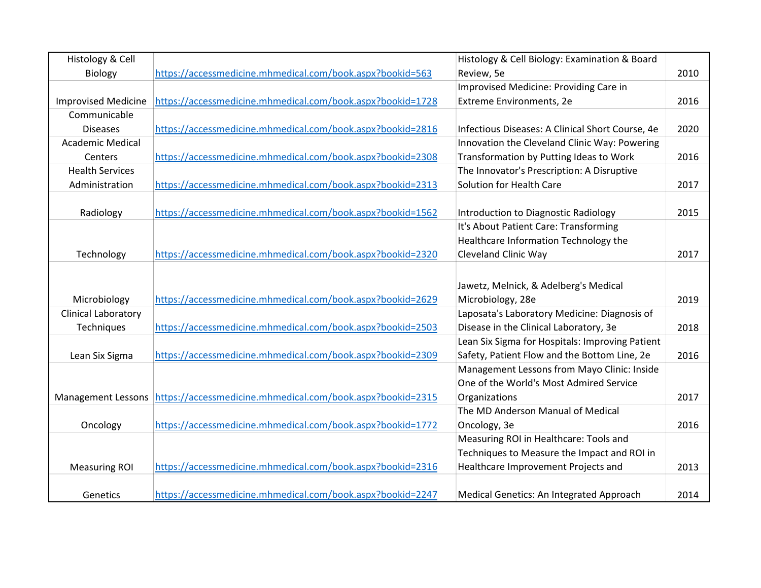| Histology & Cell           |                                                                                 | Histology & Cell Biology: Examination & Board    |      |
|----------------------------|---------------------------------------------------------------------------------|--------------------------------------------------|------|
| Biology                    | https://accessmedicine.mhmedical.com/book.aspx?bookid=563                       | Review, 5e                                       | 2010 |
|                            |                                                                                 | Improvised Medicine: Providing Care in           |      |
| <b>Improvised Medicine</b> | https://accessmedicine.mhmedical.com/book.aspx?bookid=1728                      | Extreme Environments, 2e                         | 2016 |
| Communicable               |                                                                                 |                                                  |      |
| <b>Diseases</b>            | https://accessmedicine.mhmedical.com/book.aspx?bookid=2816                      | Infectious Diseases: A Clinical Short Course, 4e | 2020 |
| <b>Academic Medical</b>    |                                                                                 | Innovation the Cleveland Clinic Way: Powering    |      |
| Centers                    | https://accessmedicine.mhmedical.com/book.aspx?bookid=2308                      | Transformation by Putting Ideas to Work          | 2016 |
| <b>Health Services</b>     |                                                                                 | The Innovator's Prescription: A Disruptive       |      |
| Administration             | https://accessmedicine.mhmedical.com/book.aspx?bookid=2313                      | Solution for Health Care                         | 2017 |
|                            |                                                                                 |                                                  |      |
| Radiology                  | https://accessmedicine.mhmedical.com/book.aspx?bookid=1562                      | Introduction to Diagnostic Radiology             | 2015 |
|                            |                                                                                 | It's About Patient Care: Transforming            |      |
|                            |                                                                                 | Healthcare Information Technology the            |      |
| Technology                 | https://accessmedicine.mhmedical.com/book.aspx?bookid=2320                      | Cleveland Clinic Way                             | 2017 |
|                            |                                                                                 |                                                  |      |
|                            |                                                                                 | Jawetz, Melnick, & Adelberg's Medical            |      |
| Microbiology               | https://accessmedicine.mhmedical.com/book.aspx?bookid=2629                      | Microbiology, 28e                                | 2019 |
| <b>Clinical Laboratory</b> |                                                                                 | Laposata's Laboratory Medicine: Diagnosis of     |      |
| Techniques                 | https://accessmedicine.mhmedical.com/book.aspx?bookid=2503                      | Disease in the Clinical Laboratory, 3e           | 2018 |
|                            |                                                                                 | Lean Six Sigma for Hospitals: Improving Patient  |      |
| Lean Six Sigma             | https://accessmedicine.mhmedical.com/book.aspx?bookid=2309                      | Safety, Patient Flow and the Bottom Line, 2e     | 2016 |
|                            |                                                                                 | Management Lessons from Mayo Clinic: Inside      |      |
|                            |                                                                                 | One of the World's Most Admired Service          |      |
|                            | Management Lessons   https://accessmedicine.mhmedical.com/book.aspx?bookid=2315 | Organizations                                    | 2017 |
|                            |                                                                                 | The MD Anderson Manual of Medical                |      |
| Oncology                   | https://accessmedicine.mhmedical.com/book.aspx?bookid=1772                      | Oncology, 3e                                     | 2016 |
|                            |                                                                                 | Measuring ROI in Healthcare: Tools and           |      |
|                            |                                                                                 | Techniques to Measure the Impact and ROI in      |      |
| <b>Measuring ROI</b>       | https://accessmedicine.mhmedical.com/book.aspx?bookid=2316                      | Healthcare Improvement Projects and              | 2013 |
|                            |                                                                                 |                                                  |      |
| Genetics                   | https://accessmedicine.mhmedical.com/book.aspx?bookid=2247                      | Medical Genetics: An Integrated Approach         | 2014 |